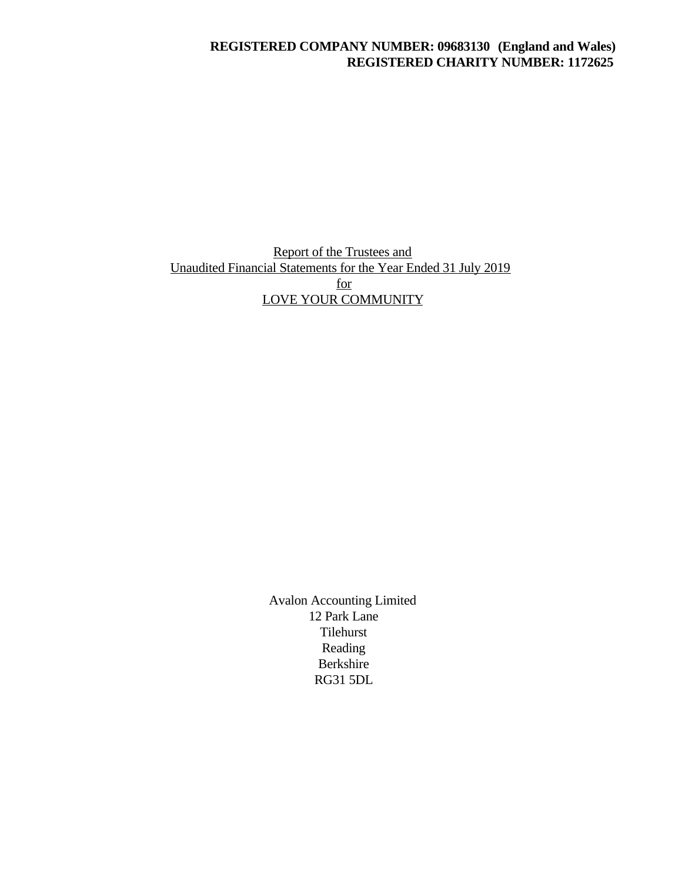## **REGISTERED COMPANY NUMBER: 09683130 (England and Wales) REGISTERED CHARITY NUMBER: 1172625**

# Report of the Trustees and Unaudited Financial Statements for the Year Ended 31 July 2019 for LOVE YOUR COMMUNITY

Avalon Accounting Limited 12 Park Lane Tilehurst Reading Berkshire RG31 5DL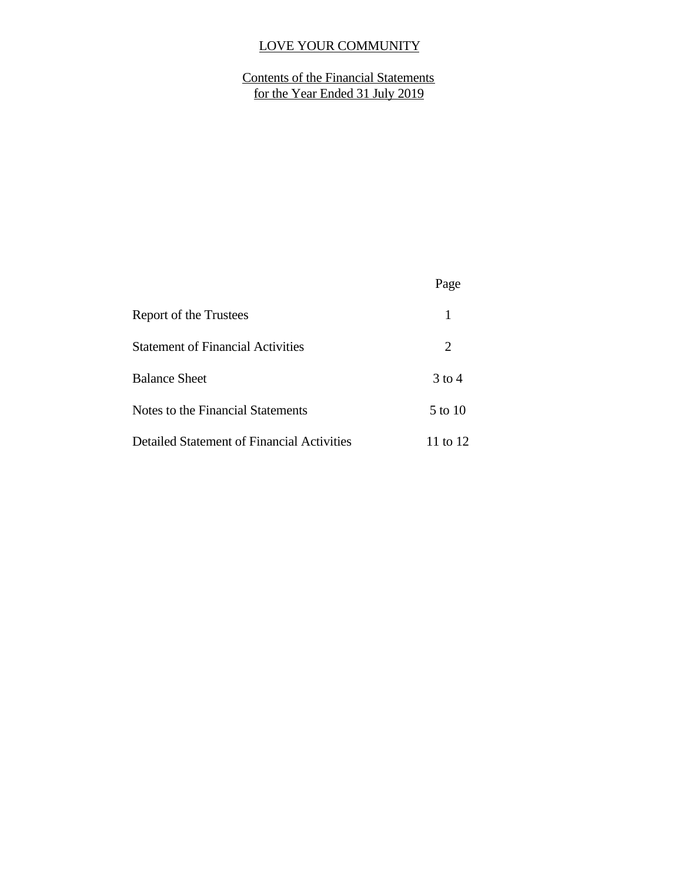# Contents of the Financial Statements for the Year Ended 31 July 2019

|                                                   | Page     |  |
|---------------------------------------------------|----------|--|
| Report of the Trustees                            | 1        |  |
| <b>Statement of Financial Activities</b>          | 2        |  |
| <b>Balance Sheet</b>                              | $3$ to 4 |  |
| Notes to the Financial Statements                 | 5 to 10  |  |
| <b>Detailed Statement of Financial Activities</b> | 11 to 12 |  |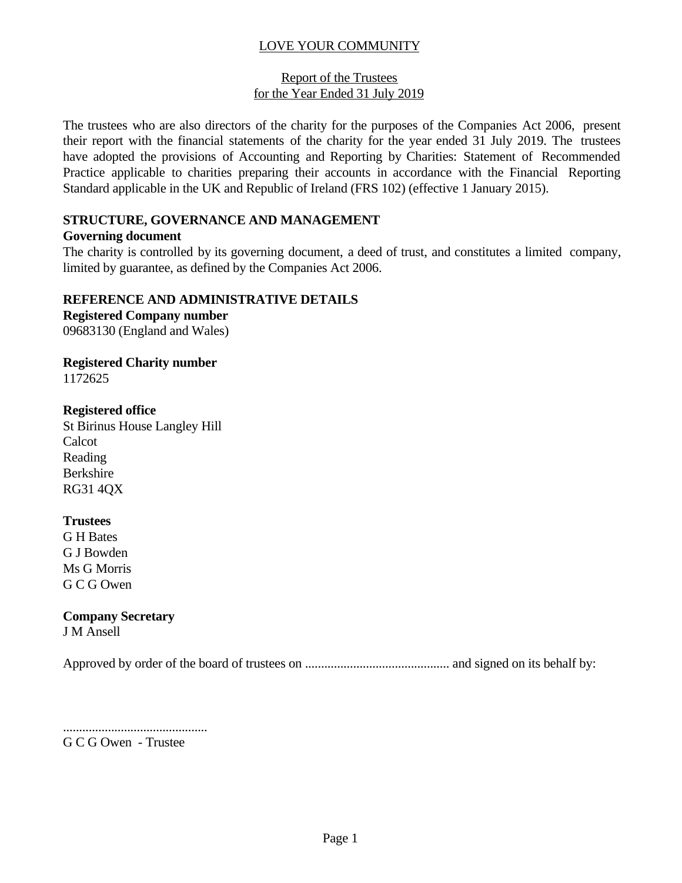## Report of the Trustees for the Year Ended 31 July 2019

The trustees who are also directors of the charity for the purposes of the Companies Act 2006, present their report with the financial statements of the charity for the year ended 31 July 2019. The trustees have adopted the provisions of Accounting and Reporting by Charities: Statement of Recommended Practice applicable to charities preparing their accounts in accordance with the Financial Reporting Standard applicable in the UK and Republic of Ireland (FRS 102) (effective 1 January 2015).

## **STRUCTURE, GOVERNANCE AND MANAGEMENT**

## **Governing document**

The charity is controlled by its governing document, a deed of trust, and constitutes a limited company, limited by guarantee, as defined by the Companies Act 2006.

## **REFERENCE AND ADMINISTRATIVE DETAILS**

**Registered Company number** 09683130 (England and Wales)

**Registered Charity number** 1172625

## **Registered office**

St Birinus House Langley Hill Calcot Reading Berkshire RG31 4QX

## **Trustees**

G H Bates G J Bowden Ms G Morris G C G Owen

# **Company Secretary**

J M Ansell

Approved by order of the board of trustees on ............................................. and signed on its behalf by:

.............................................

G C G Owen - Trustee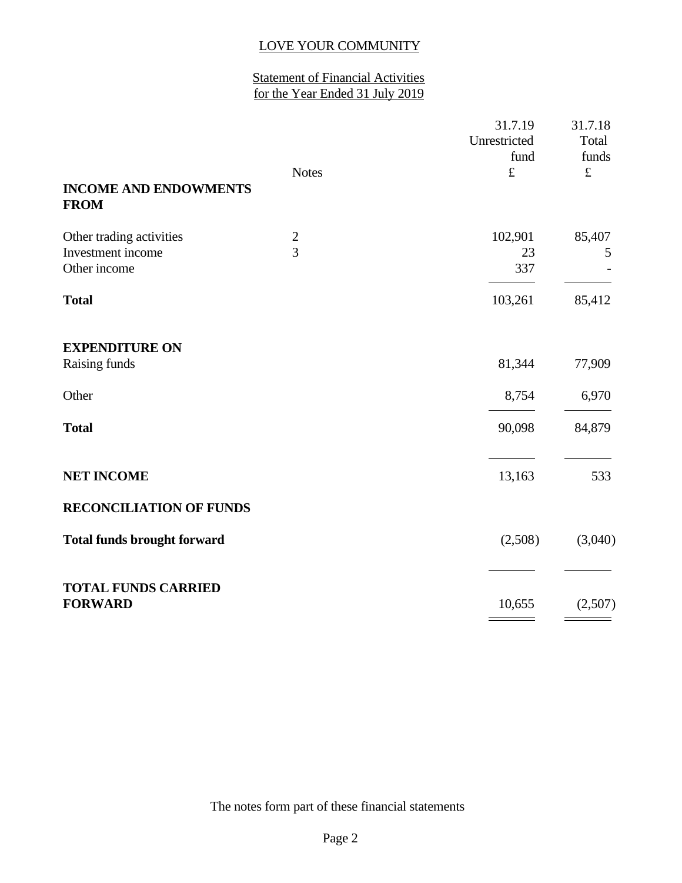# Statement of Financial Activities for the Year Ended 31 July 2019

|                                             | <b>Notes</b>   | 31.7.19<br>Unrestricted<br>fund<br>$\pounds$ | 31.7.18<br>Total<br>funds<br>$\pounds$ |
|---------------------------------------------|----------------|----------------------------------------------|----------------------------------------|
| <b>INCOME AND ENDOWMENTS</b><br><b>FROM</b> |                |                                              |                                        |
| Other trading activities                    | $\overline{c}$ | 102,901                                      | 85,407                                 |
| Investment income<br>Other income           | $\overline{3}$ | 23<br>337                                    | 5                                      |
| <b>Total</b>                                |                | 103,261                                      | 85,412                                 |
| <b>EXPENDITURE ON</b><br>Raising funds      |                | 81,344                                       | 77,909                                 |
|                                             |                |                                              |                                        |
| Other                                       |                | 8,754                                        | 6,970                                  |
| <b>Total</b>                                |                | 90,098                                       | 84,879                                 |
| <b>NET INCOME</b>                           |                | 13,163                                       | 533                                    |
| <b>RECONCILIATION OF FUNDS</b>              |                |                                              |                                        |
| <b>Total funds brought forward</b>          |                | (2,508)                                      | (3,040)                                |
| <b>TOTAL FUNDS CARRIED</b>                  |                |                                              |                                        |
| <b>FORWARD</b>                              |                | 10,655                                       | (2,507)                                |

The notes form part of these financial statements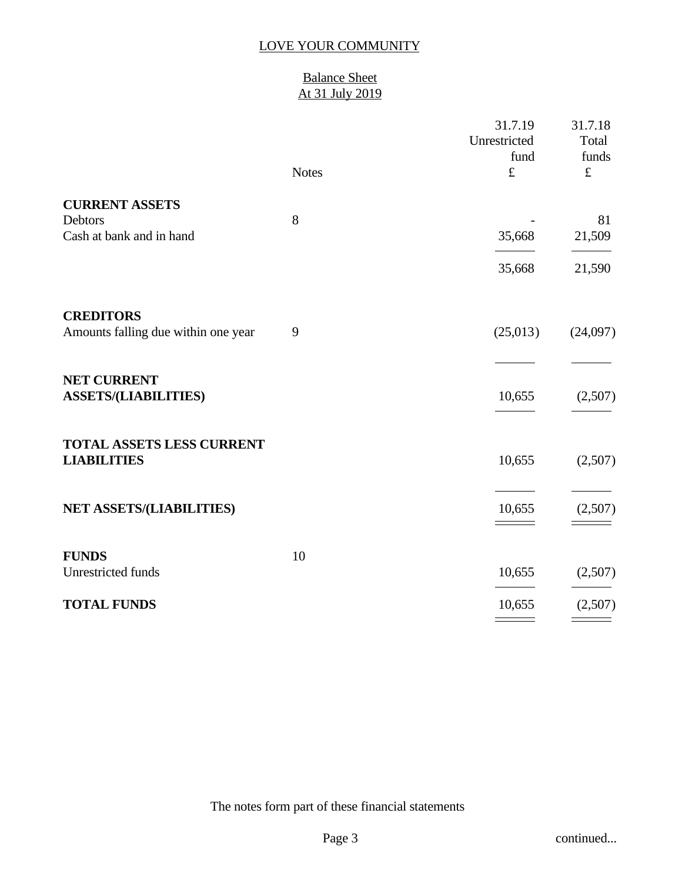## Balance Sheet At 31 July 2019

|                                     |              | 31.7.19<br>Unrestricted<br>fund | 31.7.18<br>Total<br>funds |
|-------------------------------------|--------------|---------------------------------|---------------------------|
|                                     | <b>Notes</b> | $\pounds$                       | $\pounds$                 |
| <b>CURRENT ASSETS</b>               |              |                                 |                           |
| Debtors                             | $8\,$        |                                 | 81                        |
| Cash at bank and in hand            |              | 35,668                          | 21,509                    |
|                                     |              | 35,668                          | 21,590                    |
| <b>CREDITORS</b>                    |              |                                 |                           |
| Amounts falling due within one year | 9            | (25,013)                        | (24,097)                  |
|                                     |              |                                 |                           |
| <b>NET CURRENT</b>                  |              |                                 |                           |
| <b>ASSETS/(LIABILITIES)</b>         |              | 10,655                          | (2,507)                   |
|                                     |              |                                 |                           |
| TOTAL ASSETS LESS CURRENT           |              |                                 |                           |
| <b>LIABILITIES</b>                  |              | 10,655                          | (2,507)                   |
|                                     |              |                                 |                           |
| NET ASSETS/(LIABILITIES)            |              | 10,655                          | (2,507)                   |
|                                     |              |                                 |                           |
|                                     |              |                                 |                           |
| <b>FUNDS</b><br>Unrestricted funds  | 10           | 10,655                          | (2,507)                   |
|                                     |              |                                 |                           |
| <b>TOTAL FUNDS</b>                  |              | 10,655                          | (2,507)                   |
|                                     |              |                                 |                           |

The notes form part of these financial statements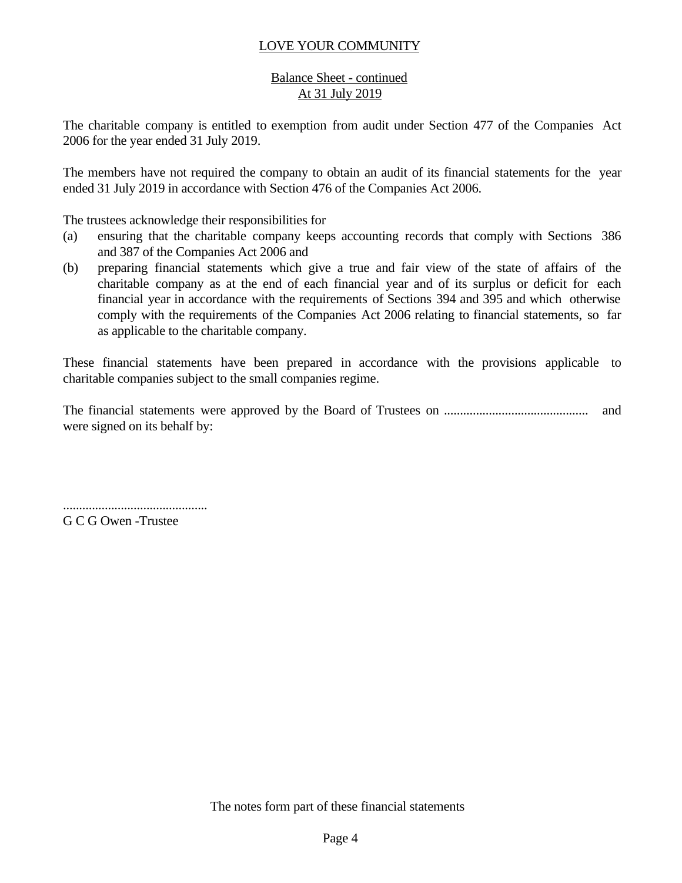## Balance Sheet - continued At 31 July 2019

The charitable company is entitled to exemption from audit under Section 477 of the Companies Act 2006 for the year ended 31 July 2019.

The members have not required the company to obtain an audit of its financial statements for the year ended 31 July 2019 in accordance with Section 476 of the Companies Act 2006.

The trustees acknowledge their responsibilities for

- (a) ensuring that the charitable company keeps accounting records that comply with Sections 386 and 387 of the Companies Act 2006 and
- (b) preparing financial statements which give a true and fair view of the state of affairs of the charitable company as at the end of each financial year and of its surplus or deficit for each financial year in accordance with the requirements of Sections 394 and 395 and which otherwise comply with the requirements of the Companies Act 2006 relating to financial statements, so far as applicable to the charitable company.

These financial statements have been prepared in accordance with the provisions applicable to charitable companies subject to the small companies regime.

The financial statements were approved by the Board of Trustees on ............................................. and were signed on its behalf by:

.............................................

G C G Owen -Trustee

The notes form part of these financial statements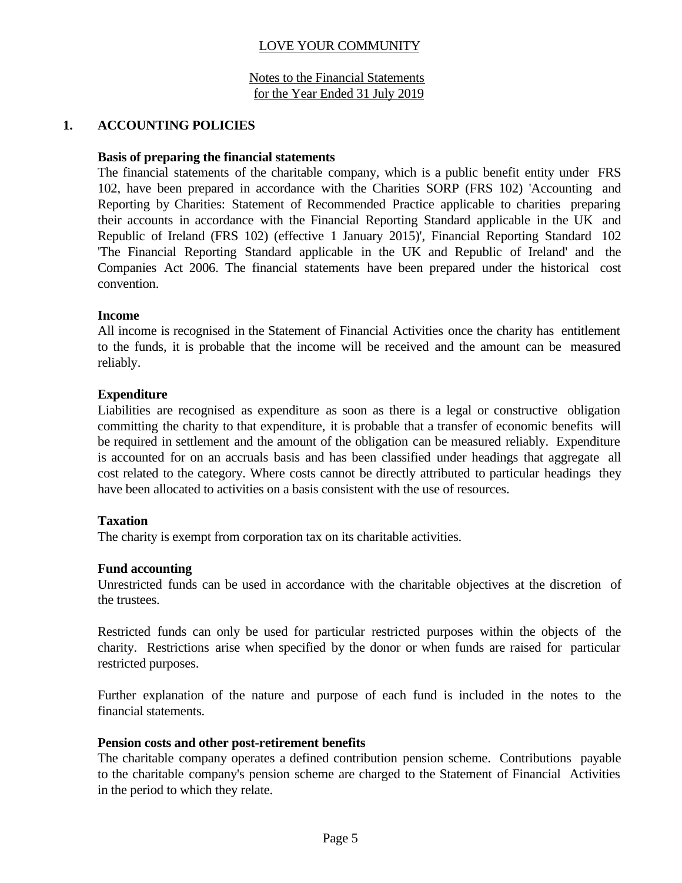Notes to the Financial Statements for the Year Ended 31 July 2019

## **1. ACCOUNTING POLICIES**

#### **Basis of preparing the financial statements**

The financial statements of the charitable company, which is a public benefit entity under FRS 102, have been prepared in accordance with the Charities SORP (FRS 102) 'Accounting and Reporting by Charities: Statement of Recommended Practice applicable to charities preparing their accounts in accordance with the Financial Reporting Standard applicable in the UK and Republic of Ireland (FRS 102) (effective 1 January 2015)', Financial Reporting Standard 102 'The Financial Reporting Standard applicable in the UK and Republic of Ireland' and the Companies Act 2006. The financial statements have been prepared under the historical cost convention.

#### **Income**

All income is recognised in the Statement of Financial Activities once the charity has entitlement to the funds, it is probable that the income will be received and the amount can be measured reliably.

#### **Expenditure**

Liabilities are recognised as expenditure as soon as there is a legal or constructive obligation committing the charity to that expenditure, it is probable that a transfer of economic benefits will be required in settlement and the amount of the obligation can be measured reliably. Expenditure is accounted for on an accruals basis and has been classified under headings that aggregate all cost related to the category. Where costs cannot be directly attributed to particular headings they have been allocated to activities on a basis consistent with the use of resources.

#### **Taxation**

The charity is exempt from corporation tax on its charitable activities.

#### **Fund accounting**

Unrestricted funds can be used in accordance with the charitable objectives at the discretion of the trustees.

Restricted funds can only be used for particular restricted purposes within the objects of the charity. Restrictions arise when specified by the donor or when funds are raised for particular restricted purposes.

Further explanation of the nature and purpose of each fund is included in the notes to the financial statements.

#### **Pension costs and other post-retirement benefits**

The charitable company operates a defined contribution pension scheme. Contributions payable to the charitable company's pension scheme are charged to the Statement of Financial Activities in the period to which they relate.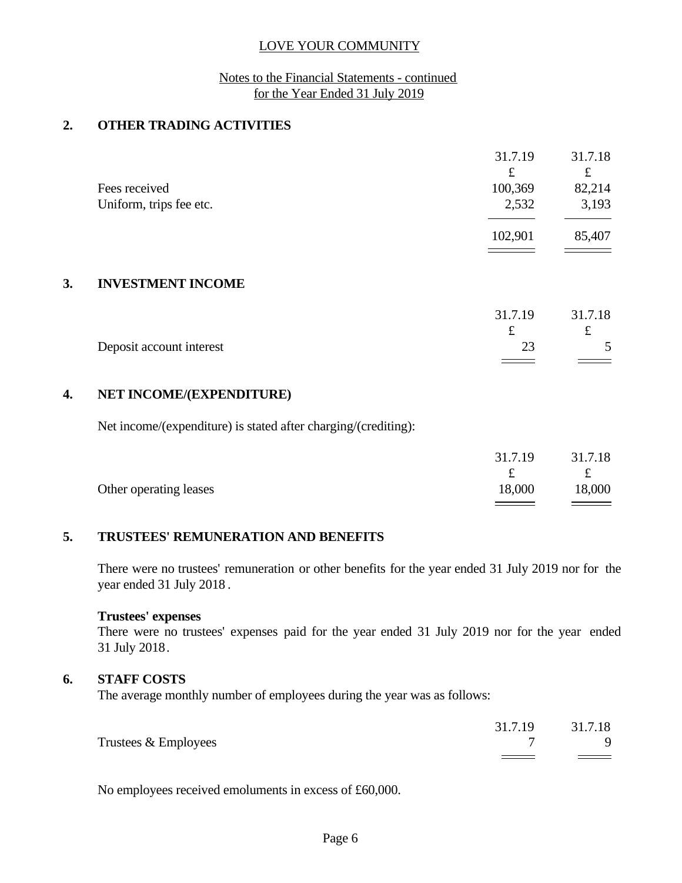#### Notes to the Financial Statements - continued for the Year Ended 31 July 2019

## **2. OTHER TRADING ACTIVITIES**

|                         | 31.7.19<br>£ | 31.7.18<br>£                                                                                                                                                                                                                                                                                                                                                                                                                     |
|-------------------------|--------------|----------------------------------------------------------------------------------------------------------------------------------------------------------------------------------------------------------------------------------------------------------------------------------------------------------------------------------------------------------------------------------------------------------------------------------|
| Fees received           | 100,369      | 82,214                                                                                                                                                                                                                                                                                                                                                                                                                           |
| Uniform, trips fee etc. | 2,532        | 3,193                                                                                                                                                                                                                                                                                                                                                                                                                            |
|                         | 102,901      | 85,407                                                                                                                                                                                                                                                                                                                                                                                                                           |
|                         |              | $\frac{1}{\sqrt{1-\frac{1}{2}}}\left( \frac{1}{\sqrt{1-\frac{1}{2}}}\right) ^{2}+\frac{1}{2\sqrt{1-\frac{1}{2}}}\left( \frac{1}{\sqrt{1-\frac{1}{2}}}\right) ^{2}+\frac{1}{2\sqrt{1-\frac{1}{2}}}\left( \frac{1}{\sqrt{1-\frac{1}{2}}}\right) ^{2}+\frac{1}{2\sqrt{1-\frac{1}{2}}}\left( \frac{1}{\sqrt{1-\frac{1}{2}}}\right) ^{2}+\frac{1}{2\sqrt{1-\frac{1}{2}}}\left( \frac{1}{\sqrt{1-\frac{1}{2}}}\right) ^{2}+\frac{1}{2$ |

#### **3. INVESTMENT INCOME**

|                          | 31.7.19       | 31.7.18 |  |
|--------------------------|---------------|---------|--|
|                          |               | ىە      |  |
| Deposit account interest | $\cap$<br>نەك |         |  |
|                          |               | ====    |  |

#### **4. NET INCOME/(EXPENDITURE)**

Net income/(expenditure) is stated after charging/(crediting):

| t.<br>18,000<br>18,000<br>Other operating leases | 31.7.19 | 31.7.18 |
|--------------------------------------------------|---------|---------|
|                                                  |         |         |
|                                                  |         |         |

#### **5. TRUSTEES' REMUNERATION AND BENEFITS**

There were no trustees' remuneration or other benefits for the year ended 31 July 2019 nor for the year ended 31 July 2018 .

#### **Trustees' expenses**

There were no trustees' expenses paid for the year ended 31 July 2019 nor for the year ended 31 July 2018.

#### **6. STAFF COSTS**

The average monthly number of employees during the year was as follows:

|                      | 31.7.19 | 31.7.18 |  |
|----------------------|---------|---------|--|
| Trustees & Employees |         |         |  |

No employees received emoluments in excess of £60,000.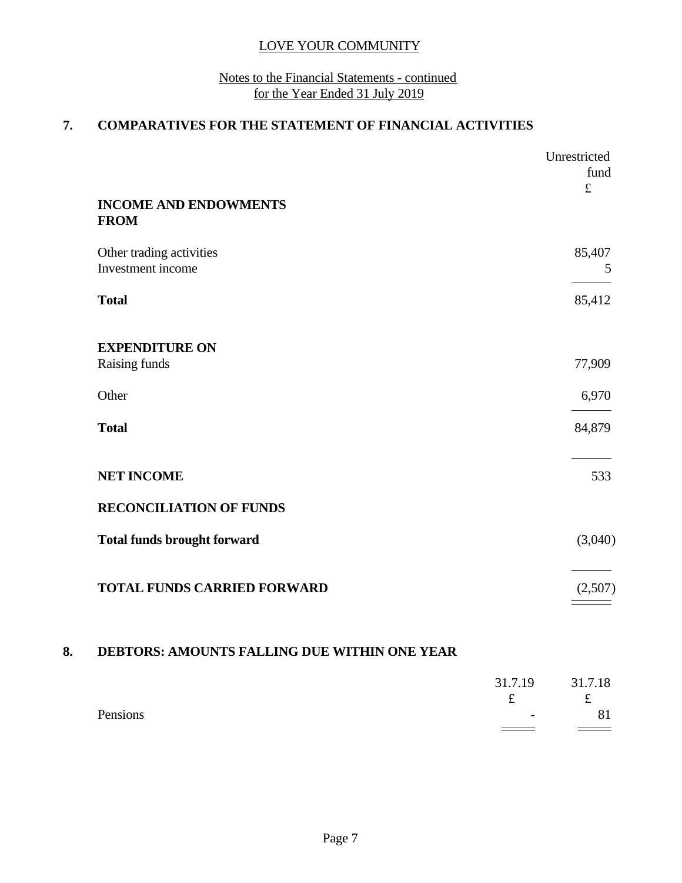## Notes to the Financial Statements - continued for the Year Ended 31 July 2019

# **7. COMPARATIVES FOR THE STATEMENT OF FINANCIAL ACTIVITIES**

|                                              |         | Unrestricted<br>fund<br>$\pounds$ |
|----------------------------------------------|---------|-----------------------------------|
| <b>INCOME AND ENDOWMENTS</b><br><b>FROM</b>  |         |                                   |
| Other trading activities                     |         | 85,407                            |
| Investment income                            |         | 5                                 |
| <b>Total</b>                                 |         | 85,412                            |
| <b>EXPENDITURE ON</b>                        |         |                                   |
| Raising funds                                |         | 77,909                            |
| Other                                        |         | 6,970                             |
| <b>Total</b>                                 |         | 84,879                            |
| <b>NET INCOME</b>                            |         | 533                               |
| <b>RECONCILIATION OF FUNDS</b>               |         |                                   |
| <b>Total funds brought forward</b>           |         | (3,040)                           |
| <b>TOTAL FUNDS CARRIED FORWARD</b>           |         | (2,507)                           |
|                                              |         |                                   |
| DEBTORS: AMOUNTS FALLING DUE WITHIN ONE YEAR |         |                                   |
|                                              | 31.7.19 | 31.7.18                           |

Pensions and the set of the set of the set of the set of the set of the set of the set of the set of the set of the set of the set of the set of the set of the set of the set of the set of the set of the set of the set of

 $f$   $f$ 

 $\qquad \qquad =$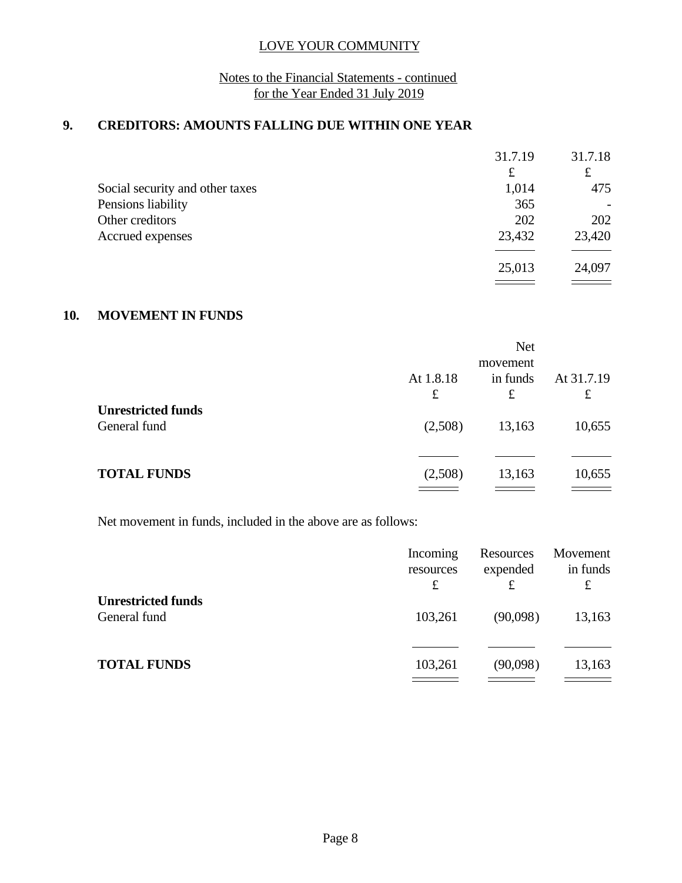## Notes to the Financial Statements - continued for the Year Ended 31 July 2019

## **9. CREDITORS: AMOUNTS FALLING DUE WITHIN ONE YEAR**

|                                 | 31.7.19 | 31.7.18 |  |
|---------------------------------|---------|---------|--|
|                                 | £       | £       |  |
| Social security and other taxes | 1,014   | 475     |  |
| Pensions liability              | 365     |         |  |
| Other creditors                 | 202     | 202     |  |
| Accrued expenses                | 23,432  | 23,420  |  |
|                                 |         |         |  |
|                                 | 25,013  | 24,097  |  |
|                                 |         |         |  |

## **10. MOVEMENT IN FUNDS**

|                                           |                | <b>Net</b><br>movement |                           |
|-------------------------------------------|----------------|------------------------|---------------------------|
|                                           | At 1.8.18<br>£ | in funds<br>£          | At 31.7.19<br>$\mathbf f$ |
| <b>Unrestricted funds</b><br>General fund | (2,508)        | 13,163                 | 10,655                    |
| <b>TOTAL FUNDS</b>                        | (2,508)        | 13,163                 | 10,655                    |

Net movement in funds, included in the above are as follows:

|                                           | Incoming<br>resources<br>£ | Resources<br>expended | Movement<br>in funds<br>£ |
|-------------------------------------------|----------------------------|-----------------------|---------------------------|
| <b>Unrestricted funds</b><br>General fund | 103,261                    | (90,098)              | 13,163                    |
| <b>TOTAL FUNDS</b>                        | 103,261                    | (90,098)              | 13,163                    |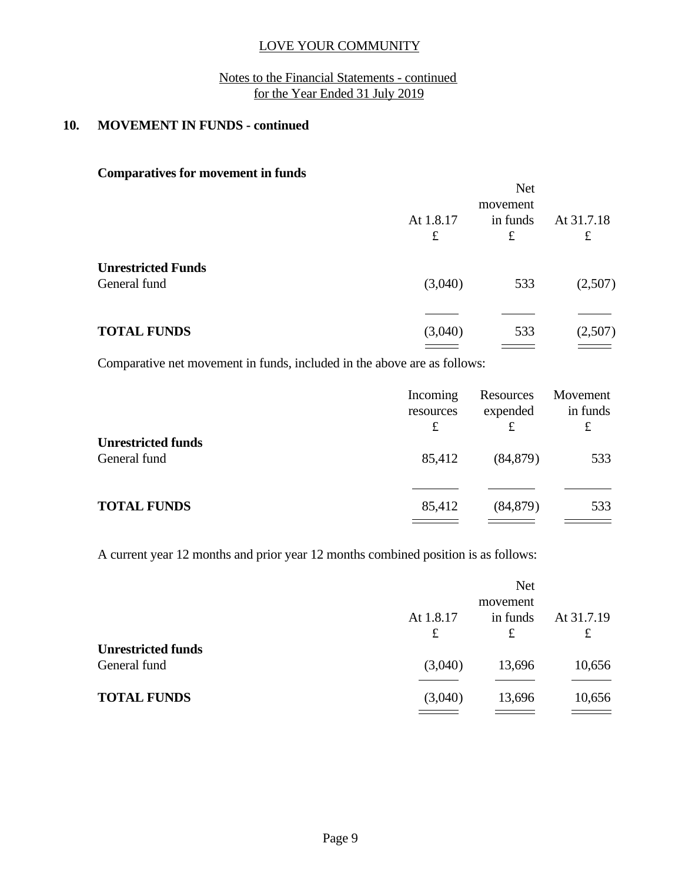## Notes to the Financial Statements - continued for the Year Ended 31 July 2019

# **10. MOVEMENT IN FUNDS - continued**

## **Comparatives for movement in funds**

|                                           | <b>Net</b><br>movement   |                       |                 |
|-------------------------------------------|--------------------------|-----------------------|-----------------|
|                                           | At 1.8.17<br>$\mathbf f$ | in funds<br>$\pounds$ | At 31.7.18<br>£ |
| <b>Unrestricted Funds</b><br>General fund | (3,040)                  | 533                   | (2,507)         |
| <b>TOTAL FUNDS</b>                        | (3,040)                  | 533                   | (2,507)         |

Comparative net movement in funds, included in the above are as follows:

|                                           | Incoming<br>resources<br>£ | Resources<br>expended<br>£ | Movement<br>in funds<br>£ |  |
|-------------------------------------------|----------------------------|----------------------------|---------------------------|--|
| <b>Unrestricted funds</b><br>General fund | 85,412                     | (84, 879)                  | 533                       |  |
| <b>TOTAL FUNDS</b>                        | 85,412                     | (84, 879)                  | 533                       |  |

A current year 12 months and prior year 12 months combined position is as follows:

|                           |                                                                                                                                                                                                                                                                                                                                                                                                                                       | <b>Net</b> |            |
|---------------------------|---------------------------------------------------------------------------------------------------------------------------------------------------------------------------------------------------------------------------------------------------------------------------------------------------------------------------------------------------------------------------------------------------------------------------------------|------------|------------|
|                           |                                                                                                                                                                                                                                                                                                                                                                                                                                       | movement   |            |
|                           | At 1.8.17                                                                                                                                                                                                                                                                                                                                                                                                                             | in funds   | At 31.7.19 |
|                           | £                                                                                                                                                                                                                                                                                                                                                                                                                                     | £          | £          |
| <b>Unrestricted funds</b> |                                                                                                                                                                                                                                                                                                                                                                                                                                       |            |            |
| General fund              | (3,040)                                                                                                                                                                                                                                                                                                                                                                                                                               | 13,696     | 10,656     |
|                           |                                                                                                                                                                                                                                                                                                                                                                                                                                       |            |            |
| <b>TOTAL FUNDS</b>        | (3,040)                                                                                                                                                                                                                                                                                                                                                                                                                               | 13,696     | 10,656     |
|                           | $\frac{1}{\sqrt{1-\frac{1}{2}}}\left( \frac{1}{\sqrt{1-\frac{1}{2}}}\right) ^{2}+\frac{1}{2}\left( \frac{1}{\sqrt{1-\frac{1}{2}}}\right) ^{2}+\frac{1}{2}\left( \frac{1}{\sqrt{1-\frac{1}{2}}}\right) ^{2}+\frac{1}{2}\left( \frac{1}{\sqrt{1-\frac{1}{2}}}\right) ^{2}+\frac{1}{2}\left( \frac{1}{\sqrt{1-\frac{1}{2}}}\right) ^{2}+\frac{1}{2}\left( \frac{1}{\sqrt{1-\frac{1}{2}}}\right) ^{2}+\frac{1}{2}\left( \frac{1}{\sqrt{1$ |            |            |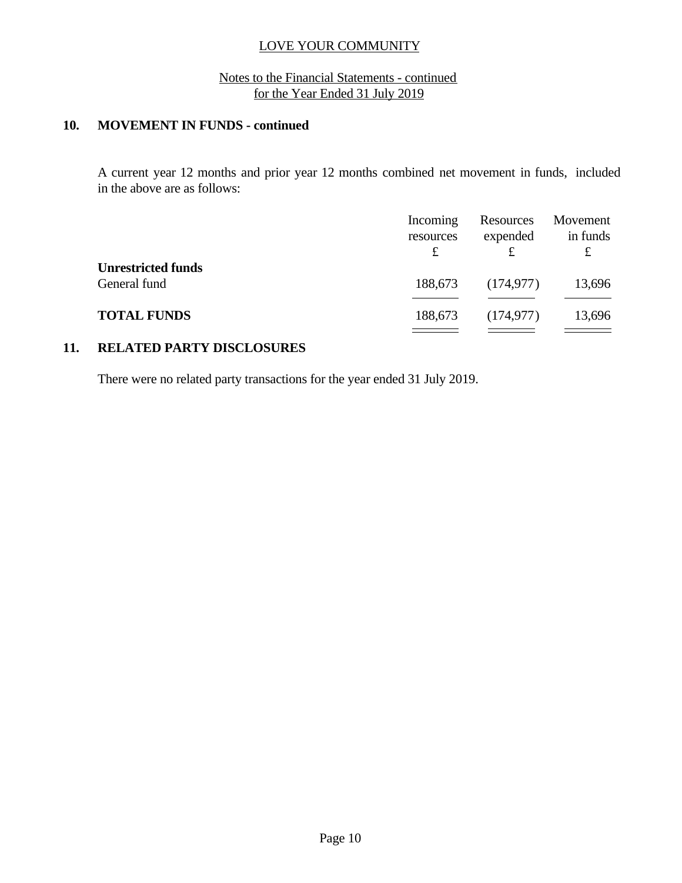## Notes to the Financial Statements - continued for the Year Ended 31 July 2019

# **10. MOVEMENT IN FUNDS - continued**

A current year 12 months and prior year 12 months combined net movement in funds, included in the above are as follows:

|                                           | Incoming<br>resources | Resources<br>expended | Movement<br>in funds |
|-------------------------------------------|-----------------------|-----------------------|----------------------|
| <b>Unrestricted funds</b><br>General fund | 188,673               | (174, 977)            | 13,696               |
| <b>TOTAL FUNDS</b>                        | 188,673               | (174, 977)            | 13,696               |

## **11. RELATED PARTY DISCLOSURES**

There were no related party transactions for the year ended 31 July 2019.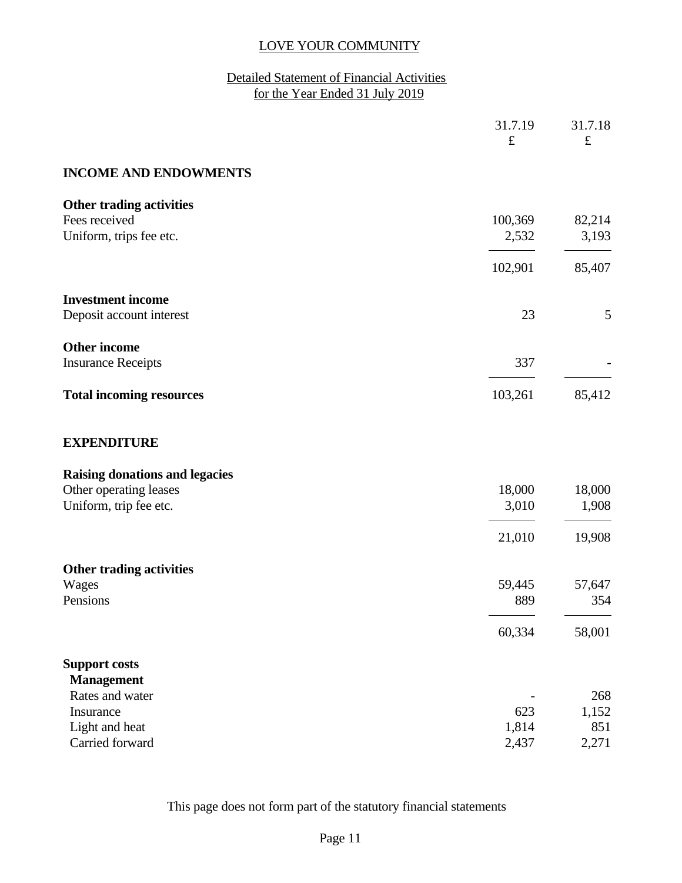# Detailed Statement of Financial Activities for the Year Ended 31 July 2019

|                                       | 31.7.19<br>$\pounds$     | 31.7.18<br>$\pounds$ |
|---------------------------------------|--------------------------|----------------------|
| <b>INCOME AND ENDOWMENTS</b>          |                          |                      |
| Other trading activities              |                          |                      |
| Fees received                         | 100,369                  | 82,214               |
| Uniform, trips fee etc.               | 2,532                    | 3,193                |
|                                       | 102,901                  | 85,407               |
| <b>Investment income</b>              |                          |                      |
| Deposit account interest              | 23                       | 5                    |
| <b>Other income</b>                   |                          |                      |
| <b>Insurance Receipts</b>             | 337                      |                      |
| <b>Total incoming resources</b>       | 103,261                  | 85,412               |
| <b>EXPENDITURE</b>                    |                          |                      |
| <b>Raising donations and legacies</b> |                          |                      |
| Other operating leases                | 18,000                   | 18,000               |
| Uniform, trip fee etc.                | 3,010                    | 1,908                |
|                                       | 21,010                   | 19,908               |
| <b>Other trading activities</b>       |                          |                      |
| Wages                                 | 59,445                   | 57,647               |
| Pensions                              | 889                      | 354                  |
|                                       | 60,334                   | 58,001               |
| <b>Support costs</b>                  |                          |                      |
| <b>Management</b>                     |                          |                      |
| Rates and water                       | $\overline{\phantom{a}}$ | 268                  |
| Insurance                             | 623                      | 1,152                |
| Light and heat                        | 1,814                    | 851                  |
| Carried forward                       | 2,437                    | 2,271                |

This page does not form part of the statutory financial statements